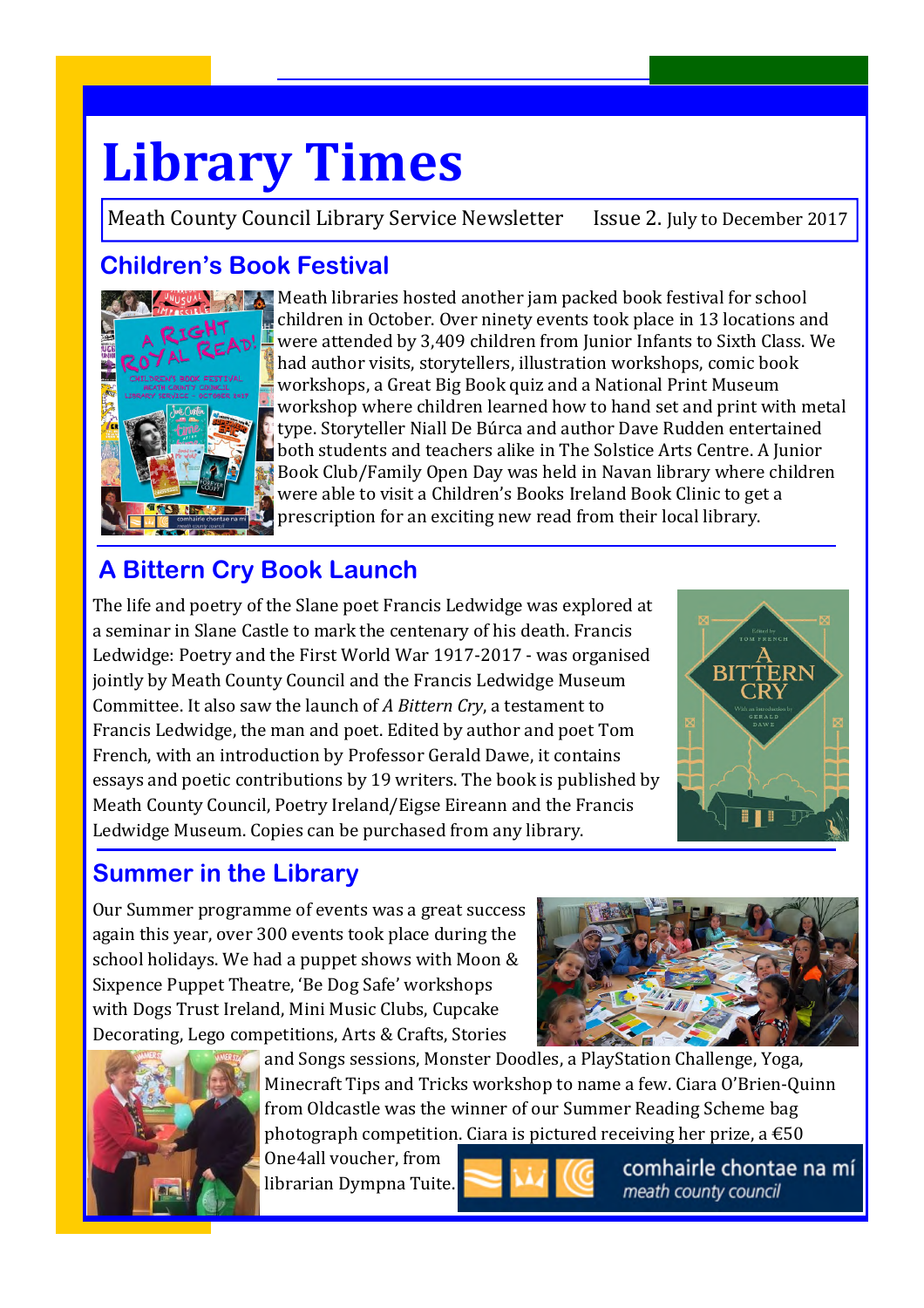# **Library Times**

Meath County Council Library Service Newsletter Issue 2. July to December 2017

# **Children's Book Festival**



Meath libraries hosted another jam packed book festival for school children in October. Over ninety events took place in 13 locations and were attended by 3,409 children from Junior Infants to Sixth Class. We had author visits, storytellers, illustration workshops, comic book workshops, a Great Big Book quiz and a National Print Museum workshop where children learned how to hand set and print with metal type. Storyteller Niall De Búrca and author Dave Rudden entertained both students and teachers alike in The Solstice Arts Centre. A Junior Book Club/Family Open Day was held in Navan library where children were able to visit a Children's Books Ireland Book Clinic to get a prescription for an exciting new read from their local library.

# **A Bittern Cry Book Launch**

The life and poetry of the Slane poet Francis Ledwidge was explored at a seminar in Slane Castle to mark the centenary of his death. Francis Ledwidge: Poetry and the First World War 1917-2017 - was organised jointly by Meath County Council and the Francis Ledwidge Museum Committee. It also saw the launch of *A Bittern Cry*, a testament to Francis Ledwidge, the man and poet. Edited by author and poet Tom French, with an introduction by Professor Gerald Dawe, it contains essays and poetic contributions by 19 writers. The book is published by Meath County Council, Poetry Ireland/Eigse Eireann and the Francis Ledwidge Museum. Copies can be purchased from any library.



# **Summer in the Library**

Our Summer programme of events was a great success again this year, over 300 events took place during the school holidays. We had a puppet shows with Moon & Sixpence Puppet Theatre, 'Be Dog Safe' workshops with Dogs Trust Ireland, Mini Music Clubs, Cupcake Decorating, Lego competitions, Arts & Crafts, Stories





and Songs sessions, Monster Doodles, a PlayStation Challenge, Yoga, Minecraft Tips and Tricks workshop to name a few. Ciara O'Brien-Quinn from Oldcastle was the winner of our Summer Reading Scheme bag photograph competition. Ciara is pictured receiving her prize, a  $\epsilon$ 50

One4all voucher, from librarian Dympna Tuite.



comhairle chontae na mí meath county council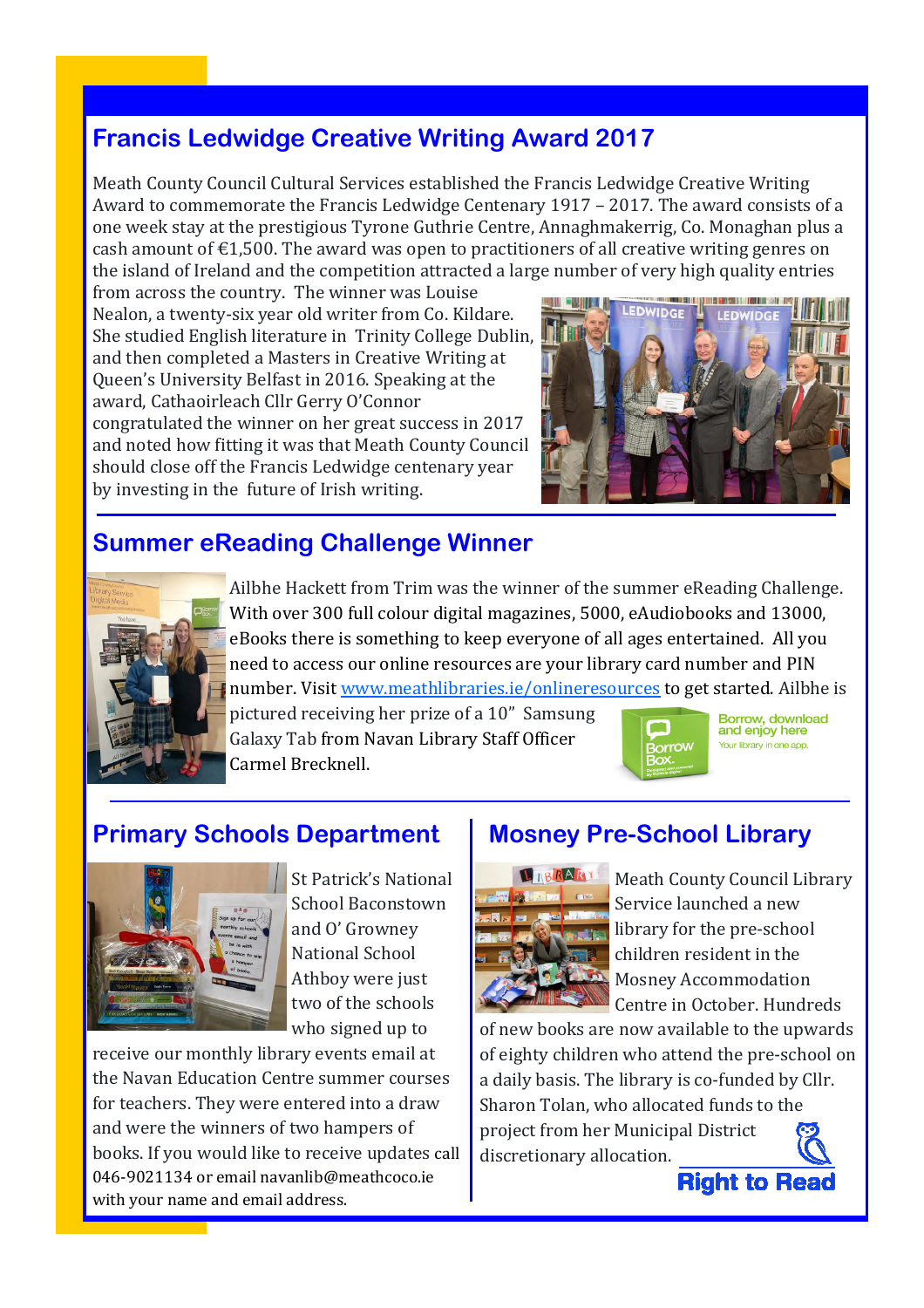#### **Francis Ledwidge Creative Writing Award 2017**

Meath County Council Cultural Services established the Francis Ledwidge Creative Writing Award to commemorate the Francis Ledwidge Centenary 1917 – 2017. The award consists of a one week stay at the prestigious Tyrone Guthrie Centre, Annaghmakerrig, Co. Monaghan plus a cash amount of  $E1,500$ . The award was open to practitioners of all creative writing genres on the island of Ireland and the competition attracted a large number of very high quality entries

from across the country. The winner was Louise Nealon, a twenty-six year old writer from Co. Kildare. She studied English literature in Trinity College Dublin, and then completed a Masters in Creative Writing at Queen's University Belfast in 2016. Speaking at the award, Cathaoirleach Cllr Gerry O'Connor congratulated the winner on her great success in 2017 and noted how fitting it was that Meath County Council should close off the Francis Ledwidge centenary year by investing in the future of Irish writing.



#### **Summer eReading Challenge Winner**



Ailbhe Hackett from Trim was the winner of the summer eReading Challenge. With over 300 full colour digital magazines, 5000, eAudiobooks and 13000, eBooks there is something to keep everyone of all ages entertained. All you need to access our online resources are your library card number and PIN number. Visit www.meathlibraries.ie/onlineresources to get started. Ailbhe is

pictured receiving her prize of a 10" Samsung Galaxy Tab from Navan Library Staff Officer Carmel Brecknell.



Borrow, download and enjoy here Your library in one app.

#### **Primary Schools Department**



St Patrick's National School Baconstown and O' Growney National School Athboy were just two of the schools who signed up to

receive our monthly library events email at the Navan Education Centre summer courses for teachers. They were entered into a draw and were the winners of two hampers of books. If you would like to receive updates call 046-9021134 or email navanlib@meathcoco.ie with your name and email address.

#### **Mosney Pre-School Library**



Meath County Council Library Service launched a new library for the pre-school children resident in the Mosney Accommodation Centre in October. Hundreds

of new books are now available to the upwards of eighty children who attend the pre-school on a daily basis. The library is co-funded by Cllr. Sharon Tolan, who allocated funds to the project from her Municipal District discretionary allocation.

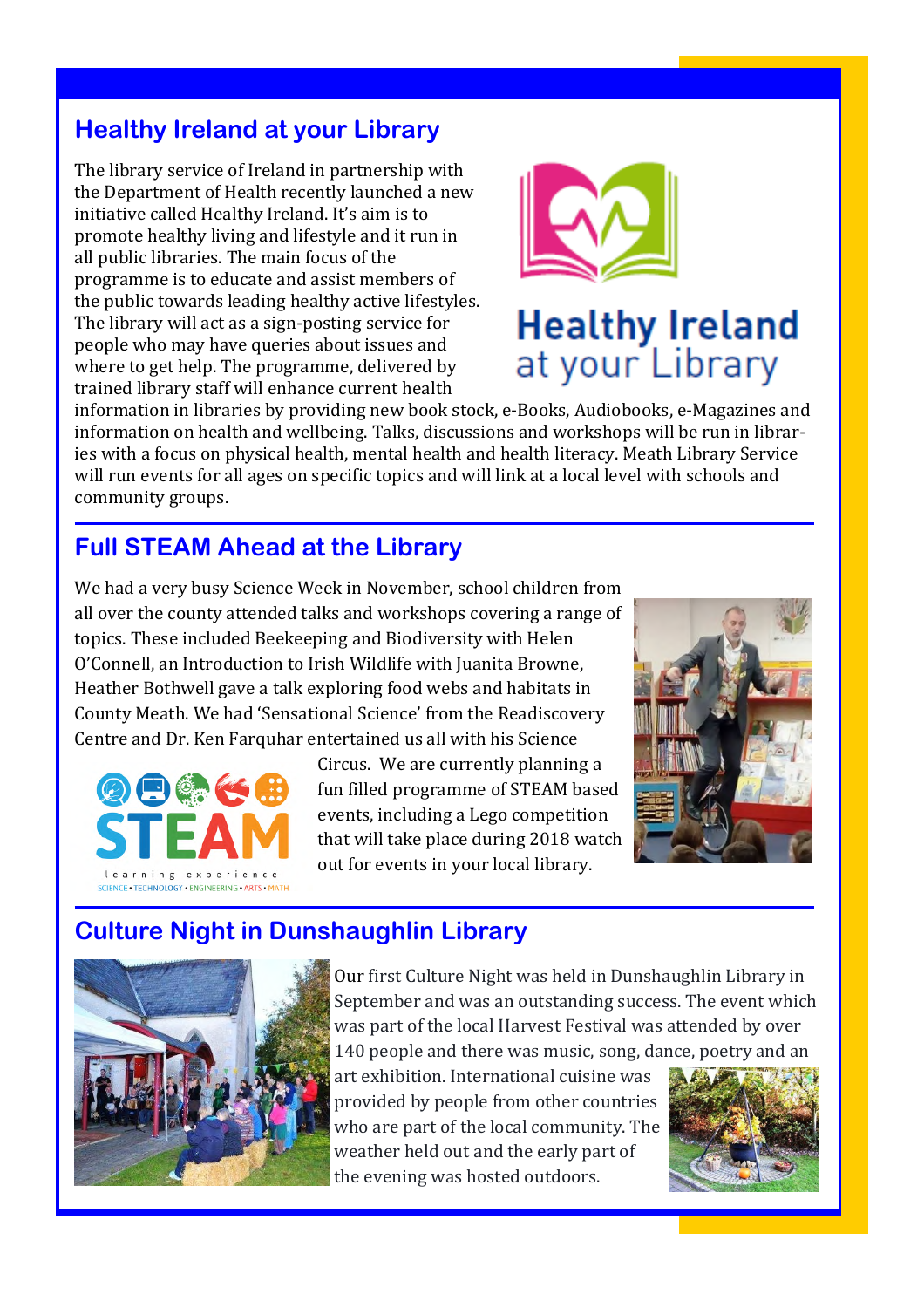# **Healthy Ireland at your Library**

The library service of Ireland in partnership with the Department of Health recently launched a new initiative called Healthy Ireland. It's aim is to promote healthy living and lifestyle and it run in all public libraries. The main focus of the programme is to educate and assist members of the public towards leading healthy active lifestyles. The library will act as a sign-posting service for people who may have queries about issues and where to get help. The programme, delivered by trained library staff will enhance current health



# **Healthy Ireland** at your Library

information in libraries by providing new book stock, e-Books, Audiobooks, e-Magazines and information on health and wellbeing. Talks, discussions and workshops will be run in libraries with a focus on physical health, mental health and health literacy. Meath Library Service will run events for all ages on specific topics and will link at a local level with schools and community groups.

# **Full STEAM Ahead at the Library**

We had a very busy Science Week in November, school children from all over the county attended talks and workshops covering a range of topics. These included Beekeeping and Biodiversity with Helen O'Connell, an Introduction to Irish Wildlife with Juanita Browne, Heather Bothwell gave a talk exploring food webs and habitats in County Meath. We had 'Sensational Science' from the Readiscovery Centre and Dr. Ken Farquhar entertained us all with his Science



Circus. We are currently planning a fun filled programme of STEAM based events, including a Lego competition that will take place during 2018 watch out for events in your local library.



# **Culture Night in Dunshaughlin Library**



Our first Culture Night was held in Dunshaughlin Library in September and was an outstanding success. The event which was part of the local Harvest Festival was attended by over 140 people and there was music, song, dance, poetry and an

art exhibition. International cuisine was provided by people from other countries who are part of the local community. The weather held out and the early part of the evening was hosted outdoors.